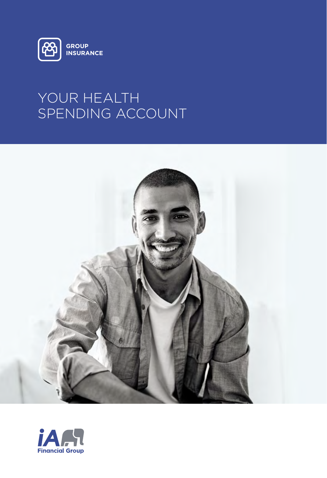

# YOUR HEALTH SPENDING ACCOUNT



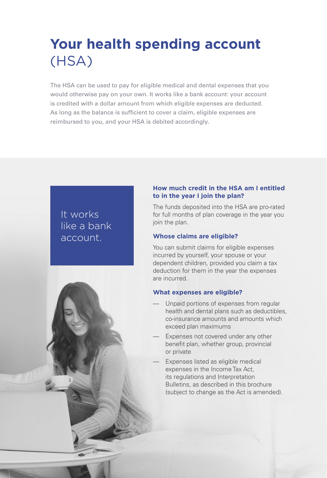# **Your health spending account**  (HSA)

The HSA can be used to pay for eligible medical and dental expenses that you would otherwise pay on your own. It works like a bank account: your account is credited with a dollar amount from which eligible expenses are deducted. As long as the balance is sufficient to cover a claim, eligible expenses are reimbursed to you, and your HSA is debited accordingly.

It works like a bank account.

# **How much credit in the HSA am I entitled to in the year I join the plan?**

The funds deposited into the HSA are pro-rated for full months of plan coverage in the year you join the plan.

#### **Whose claims are eligible?**

You can submit claims for eligible expenses incurred by yourself, your spouse or your dependent children, provided you claim a tax deduction for them in the year the expenses are incurred.

#### **What expenses are eligible?**

- Unpaid portions of expenses from regular health and dental plans such as deductibles, co-insurance amounts and amounts which exceed plan maximums
- Expenses not covered under any other benefit plan, whether group, provincial or private
- Expenses listed as eligible medical expenses in the Income Tax Act, its regulations and Interpretation Bulletins, as described in this brochure (subject to change as the Act is amended).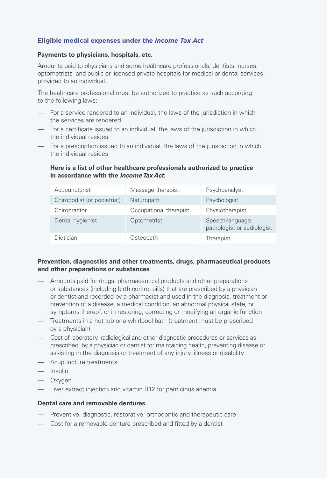## **Eligible medical expenses under the** *Income Tax Act*

#### **Payments to physicians, hospitals, etc.**

Amounts paid to physicians and some healthcare professionals, dentists, nurses, optometrists and public or licensed private hospitals for medical or dental services provided to an individual.

The healthcare professional must be authorized to practice as such according to the following laws:

- For a service rendered to an individual, the laws of the jurisdiction in which the services are rendered
- For a certificate issued to an individual, the laws of the jurisdiction in which the individual resides
- For a prescription issued to an individual, the laws of the jurisdiction in which the individual resides

## **Here is a list of other healthcare professionals authorized to practice in accordance with the** *Income Tax Act***:**

| Acupuncturist               | Massage therapist      | Psychoanalyst                                 |
|-----------------------------|------------------------|-----------------------------------------------|
| Chiropodist (or podiatrist) | Naturopath             | Psychologist                                  |
| Chiropractor                | Occupational therapist | Physiotherapist                               |
| Dental hygienist            | Optometrist            | Speech-language<br>pathologist or audiologist |
| Dietician                   | Osteopath              | Therapist                                     |

#### **Prevention, diagnostics and other treatments, drugs, pharmaceutical products and other preparations or substances**

- Amounts paid for drugs, pharmaceutical products and other preparations or substances (including birth control pills) that are prescribed by a physician or dentist and recorded by a pharmacist and used in the diagnosis, treatment or prevention of a disease, a medical condition, an abnormal physical state, or symptoms thereof, or in restoring, correcting or modifying an organic function
- Treatments in a hot tub or a whirlpool bath (treatment must be prescribed by a physician)
- Cost of laboratory, radiological and other diagnostic procedures or services as prescribed by a physician or dentist for maintaining health, preventing disease or assisting in the diagnosis or treatment of any injury, illness or disability
- Acupuncture treatments
- Insulin
- Oxygen
- Liver extract injection and vitamin B12 for pernicious anemia

#### **Dental care and removable dentures**

- Preventive, diagnostic, restorative, orthodontic and therapeutic care
- Cost for a removable denture prescribed and fitted by a dentist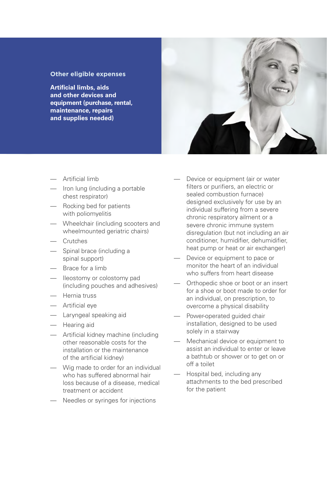#### **Other eligible expenses**

**Artificial limbs, aids and other devices and equipment (purchase, rental, maintenance, repairs and supplies needed)**

- Artificial limb
- Iron lung (including a portable chest respirator)
- Rocking bed for patients with poliomyelitis
- Wheelchair (including scooters and wheelmounted geriatric chairs)
- Crutches
- Spinal brace (including a spinal support)
- Brace for a limb
- Ileostomy or colostomy pad (including pouches and adhesives)
- Hernia truss
- Artificial eye
- Laryngeal speaking aid
- Hearing aid
- Artificial kidney machine (including other reasonable costs for the installation or the maintenance of the artificial kidney)
- Wig made to order for an individual who has suffered abnormal hair loss because of a disease, medical treatment or accident
- Needles or syringes for injections



- Device or equipment to pace or monitor the heart of an individual who suffers from heart disease
- Orthopedic shoe or boot or an insert for a shoe or boot made to order for an individual, on prescription, to overcome a physical disability
- Power-operated guided chair installation, designed to be used solely in a stairway
- Mechanical device or equipment to assist an individual to enter or leave a bathtub or shower or to get on or off a toilet
- Hospital bed, including any attachments to the bed prescribed for the patient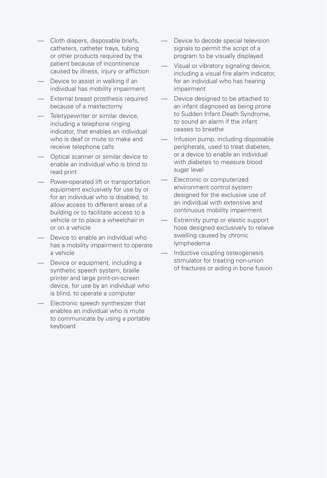- Cloth diapers, disposable briefs, catheters, catheter trays, tubing or other products required by the patient because of incontinence caused by illness, injury or affliction
- Device to assist in walking if an individual has mobility impairment
- External breast prosthesis required because of a mastectomy
- **Teletypewriter or similar device,** including a telephone ringing indicator, that enables an individual who is deaf or mute to make and receive telephone calls
- Optical scanner or similar device to enable an individual who is blind to read print
- Power-operated lift or transportation equipment exclusively for use by or for an individual who is disabled, to allow access to different areas of a building or to facilitate access to a vehicle or to place a wheelchair in or on a vehicle
- Device to enable an individual who has a mobility impairment to operate a vehicle
- Device or equipment, including a synthetic speech system, braille printer and large print-on-screen device, for use by an individual who is blind, to operate a computer
- Electronic speech synthesizer that enables an individual who is mute to communicate by using a portable keyboard
- Device to decode special television signals to permit the script of a program to be visually displayed
- Visual or vibratory signaling device, including a visual fire alarm indicator, for an individual who has hearing impairment
- Device designed to be attached to an infant diagnosed as being prone to Sudden Infant Death Syndrome, to sound an alarm if the infant ceases to breathe
- Infusion pump, including disposable peripherals, used to treat diabetes, or a device to enable an individual with diabetes to measure blood sugar level
- Electronic or computerized environment control system designed for the exclusive use of an individual with extensive and continuous mobility impairment
- Extremity pump or elastic support hose designed exclusively to relieve swelling caused by chronic lymphedema
- Inductive coupling osteogenesis stimulator for treating non-union of fractures or aiding in bone fusion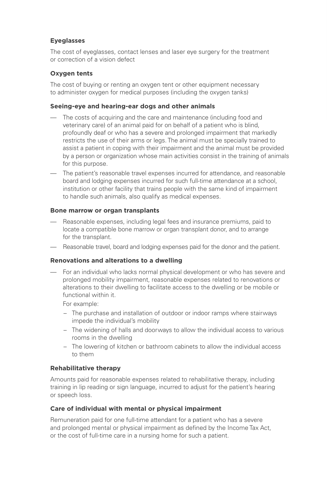## **Eyeglasses**

The cost of eyeglasses, contact lenses and laser eye surgery for the treatment or correction of a vision defect

## **Oxygen tents**

The cost of buying or renting an oxygen tent or other equipment necessary to administer oxygen for medical purposes (including the oxygen tanks)

## **Seeing-eye and hearing-ear dogs and other animals**

- The costs of acquiring and the care and maintenance (including food and veterinary care) of an animal paid for on behalf of a patient who is blind, profoundly deaf or who has a severe and prolonged impairment that markedly restricts the use of their arms or legs. The animal must be specially trained to assist a patient in coping with their impairment and the animal must be provided by a person or organization whose main activities consist in the training of animals for this purpose.
- The patient's reasonable travel expenses incurred for attendance, and reasonable board and lodging expenses incurred for such full-time attendance at a school, institution or other facility that trains people with the same kind of impairment to handle such animals, also qualify as medical expenses.

#### **Bone marrow or organ transplants**

- Reasonable expenses, including legal fees and insurance premiums, paid to locate a compatible bone marrow or organ transplant donor, and to arrange for the transplant.
- Reasonable travel, board and lodging expenses paid for the donor and the patient.

## **Renovations and alterations to a dwelling**

— For an individual who lacks normal physical development or who has severe and prolonged mobility impairment, reasonable expenses related to renovations or alterations to their dwelling to facilitate access to the dwelling or be mobile or functional within it.

For example:

- The purchase and installation of outdoor or indoor ramps where stairways impede the individual's mobility
- The widening of halls and doorways to allow the individual access to various rooms in the dwelling
- The lowering of kitchen or bathroom cabinets to allow the individual access to them

#### **Rehabilitative therapy**

Amounts paid for reasonable expenses related to rehabilitative therapy, including training in lip reading or sign language, incurred to adjust for the patient's hearing or speech loss.

#### **Care of individual with mental or physical impairment**

Remuneration paid for one full-time attendant for a patient who has a severe and prolonged mental or physical impairment as defined by the Income Tax Act, or the cost of full-time care in a nursing home for such a patient.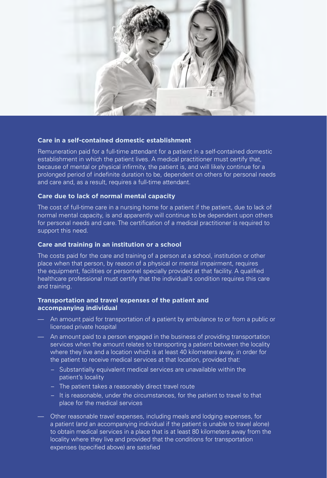

#### **Care in a self-contained domestic establishment**

Remuneration paid for a full-time attendant for a patient in a self-contained domestic establishment in which the patient lives. A medical practitioner must certify that, because of mental or physical infirmity, the patient is, and will likely continue for a prolonged period of indefinite duration to be, dependent on others for personal needs and care and, as a result, requires a full-time attendant.

#### **Care due to lack of normal mental capacity**

The cost of full-time care in a nursing home for a patient if the patient, due to lack of normal mental capacity, is and apparently will continue to be dependent upon others for personal needs and care. The certification of a medical practitioner is required to support this need.

#### **Care and training in an institution or a school**

The costs paid for the care and training of a person at a school, institution or other place when that person, by reason of a physical or mental impairment, requires the equipment, facilities or personnel specially provided at that facility. A qualified healthcare professional must certify that the individual's condition requires this care and training.

## **Transportation and travel expenses of the patient and accompanying individual**

- An amount paid for transportation of a patient by ambulance to or from a public or licensed private hospital
- An amount paid to a person engaged in the business of providing transportation services when the amount relates to transporting a patient between the locality where they live and a location which is at least 40 kilometers away, in order for the patient to receive medical services at that location, provided that:
	- Substantially equivalent medical services are unavailable within the patient's locality
	- The patient takes a reasonably direct travel route
	- It is reasonable, under the circumstances, for the patient to travel to that place for the medical services
- Other reasonable travel expenses, including meals and lodging expenses, for a patient (and an accompanying individual if the patient is unable to travel alone) to obtain medical services in a place that is at least 80 kilometers away from the locality where they live and provided that the conditions for transportation expenses (specified above) are satisfied